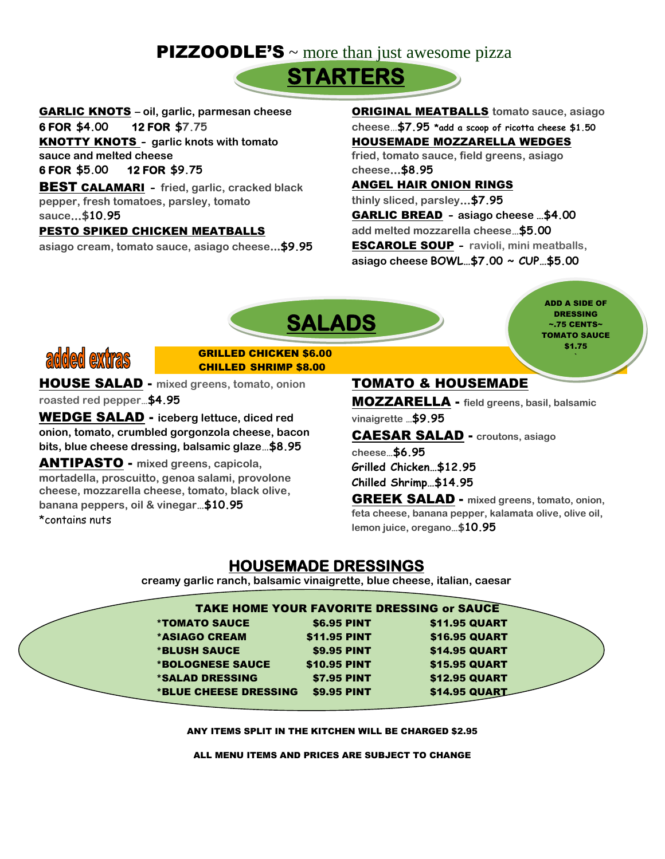# **PIZZOODLE'S** ~ more than just awesome pizza



GARLIC KNOTS **– oil, garlic, parmesan cheese** 

#### **6 FOR \$4.00 12 FOR \$7.75**

KNOTTY KNOTS **- garlic knots with tomato sauce and melted cheese** 

#### **6 FOR \$5.00 12 FOR \$9.75**

BEST CALAMARI **- fried, garlic, cracked black pepper, fresh tomatoes, parsley, tomato sauce…\$10.95**

#### PESTO SPIKED CHICKEN MEATBALLS

**asiago cream, tomato sauce, asiago cheese...\$9.95** 

ORIGINAL MEATBALLS **tomato sauce, asiago cheese**…**\$7.95 \*add a scoop of ricotta cheese \$1.50** HOUSEMADE MOZZARELLA WEDGES **fried, tomato sauce, field greens, asiago cheese…\$8.95**

#### ANGEL HAIR ONION RINGS

**thinly sliced, parsley…\$7.95** GARLIC BREAD **- asiago cheese …\$4.00 add melted mozzarella cheese…\$5.00** ESCAROLE SOUP **- ravioli, mini meatballs, asiago cheese BOWL…\$7.00 ~ CUP…\$5.00**



ADD A SIDE OF DRESSING  $\sim$ .75 CENTS $\sim$ TOMATO SAUCE \$1.75 `



#### GRILLED CHICKEN \$6.00 CHILLED SHRIMP \$8.00

HOUSE SALAD - **mixed greens, tomato, onion**

**roasted red pepper…\$4.95**

WEDGE SALAD - **iceberg lettuce, diced red onion, tomato, crumbled gorgonzola cheese, bacon bits, blue cheese dressing, balsamic glaze**…**\$8.95** 

ANTIPASTO - **mixed greens, capicola, mortadella, proscuitto, genoa salami, provolone cheese, mozzarella cheese, tomato, black olive, banana peppers, oil & vinegar…\$10.95** \*contains nuts

#### TOMATO & HOUSEMADE

MOZZARELLA - **field greens, basil, balsamic ~60 CENTSvinaigrette …\$9.95**

CAESAR SALAD - **croutons, asiago cheese…\$6.95**

**Grilled Chicken…\$12.95 Chilled Shrimp…\$14.95** 

GREEK SALAD - **mixed greens, tomato, onion, feta cheese, banana pepper, kalamata olive, olive oil, lemon juice, oregano…\$10.95**

### **HOUSEMADE DRESSINGS**

**creamy garlic ranch, balsamic vinaigrette, blue cheese, italian, caesar**

|                               |                     | <b>TAKE HOME YOUR FAVORITE DRESSING or SAUCE</b> |  |
|-------------------------------|---------------------|--------------------------------------------------|--|
| <i><b>*TOMATO SAUCE</b></i>   | <b>\$6.95 PINT</b>  | <b>\$11.95 QUART</b>                             |  |
| *ASIAGO CREAM                 | <b>\$11.95 PINT</b> | <b>\$16.95 QUART</b>                             |  |
| <b>*BLUSH SAUCE</b>           | <b>\$9.95 PINT</b>  | <b>\$14.95 QUART</b>                             |  |
| *BOLOGNESE SAUCE              | <b>\$10.95 PINT</b> | <b>\$15.95 QUART</b>                             |  |
| <i><b>*SALAD DRESSING</b></i> | <b>\$7.95 PINT</b>  | <b>\$12.95 QUART</b>                             |  |
| *BLUE CHEESE DRESSING         | <b>\$9.95 PINT</b>  | <b>\$14.95 QUART</b>                             |  |
|                               |                     |                                                  |  |

ANY ITEMS SPLIT IN THE KITCHEN WILL BE CHARGED \$2.95

ALL MENU ITEMS AND PRICES ARE SUBJECT TO CHANGE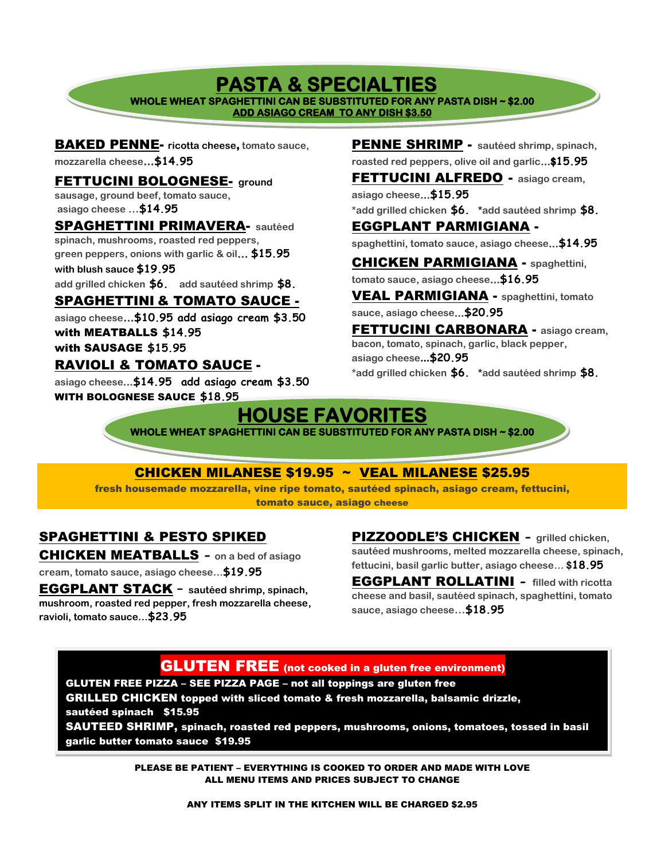# **PASTA & SPECIALTIES**

**WHOLE WHEAT SPAGHETTINI CAN BE SUBSTITUTED FOR ANY PASTA DISH ~ \$2.00 ADD ASIAGO CREAM TO ANY DISH \$3.50**  Ī

BAKED PENNE- **ricotta cheese**, **tomato sauce, mozzarella cheese…\$14.95**

FETTUCINI BOLOGNESE- **ground sausage, ground beef, tomato sauce, asiago cheese …\$14.95** SPAGHETTINI PRIMAVERA- **sautéed** 

**spinach, mushrooms, roasted red peppers, green peppers, onions with garlic & oil… \$15.95** 

**with blush sauce \$19.95** 

**add grilled chicken \$6. add sautéed shrimp \$8.**

#### SPAGHETTINI & TOMATO SAUCE -

**asiago cheese…\$10.95 add asiago cream \$3.50** with MEATBALLS **\$14.95**  with SAUSAGE **\$15.95** 

#### RAVIOLI & TOMATO SAUCE -

**asiago cheese…\$14.95 add asiago cream \$3.50**  WITH BOLOGNESE SAUCE **\$18.95**

PENNE SHRIMP - **sautéed shrimp, spinach, roasted red peppers, olive oil and garlic…\$15.95**

FETTUCINI ALFREDO - **asiago cream, asiago cheese…\$15.95**

**\*add grilled chicken \$6. \*add sautéed shrimp \$8.** EGGPLANT PARMIGIANA -

**spaghettini, tomato sauce, asiago cheese…\$14.95**

CHICKEN PARMIGIANA - **spaghettini, tomato sauce, asiago cheese…\$16.95**

VEAL PARMIGIANA - **spaghettini, tomato sauce, asiago cheese…\$20.95**

FETTUCINI CARBONARA - **asiago cream, bacon, tomato, spinach, garlic, black pepper, asiago cheese...\$20.95**

**\*add grilled chicken \$6. \*add sautéed shrimp \$8.**

# **HOUSE FAVORITES**

**WHOLE WHEAT SPAGHETTINI CAN BE SUBSTITUTED FOR ANY PASTA DISH ~ \$2.00** 

#### CHICKEN MILANESE \$19.95 ~ VEAL MILANESE \$25.95

fresh housemade mozzarella, vine ripe tomato, sautéed spinach, asiago cream, fettucini, tomato sauce, asiago cheese

### SPAGHETTINI & PESTO SPIKED

CHICKEN MEATBALLS **- on a bed of asiago** 

**cream, tomato sauce, asiago cheese…\$19.95**

EGGPLANT STACK **– sautéed shrimp, spinach, mushroom, roasted red pepper, fresh mozzarella cheese, ravioli, tomato sauce…\$23.95**

PIZZOODLE'S CHICKEN **- grilled chicken, sautéed mushrooms, melted mozzarella cheese, spinach, fettucini, basil garlic butter, asiago cheese… \$18.95**

EGGPLANT ROLLATINI **- filled with ricotta cheese and basil, sautéed spinach, spaghettini, tomato sauce, asiago cheese…\$18.95**

#### **GLUTEN FREE** (not cooked in a gluten free environment)

GLUTEN FREE PIZZA – SEE PIZZA PAGE – not all toppings are gluten free

GRILLED CHICKEN topped with sliced tomato & fresh mozzarella, balsamic drizzle, sautéed spinach \$15.95

SAUTEED SHRIMP, spinach, roasted red peppers, mushrooms, onions, tomatoes, tossed in basil garlic butter tomato sauce \$19.95

> PLEASE BE PATIENT – EVERYTHING IS COOKED TO ORDER AND MADE WITH LOVE ALL MENU ITEMS AND PRICES SUBJECT TO CHANGE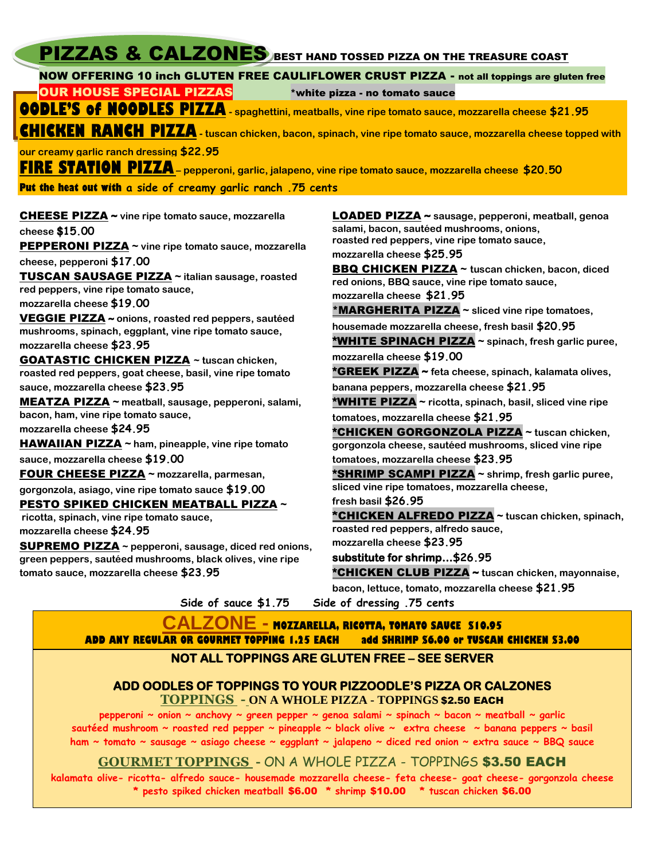| PIZZAS & CALZONES BEST HAND TOSSED PIZZA ON THE TREASURE COAST                                                                                                                                                                                                                                                                                                                                                                                                                                                                                                                                                                                                                                                                                                                                                                                                                                                                                                                                                                                                                                                                                                                                                                                                          |                                                                                                                                                                                                                                                                                                                                                                                                                                                                                                                                                                                                                                                                                                                                                                                                                                                                                                                                                                                                                                                                                                                                                                                                                                                                                                                         |  |  |  |  |
|-------------------------------------------------------------------------------------------------------------------------------------------------------------------------------------------------------------------------------------------------------------------------------------------------------------------------------------------------------------------------------------------------------------------------------------------------------------------------------------------------------------------------------------------------------------------------------------------------------------------------------------------------------------------------------------------------------------------------------------------------------------------------------------------------------------------------------------------------------------------------------------------------------------------------------------------------------------------------------------------------------------------------------------------------------------------------------------------------------------------------------------------------------------------------------------------------------------------------------------------------------------------------|-------------------------------------------------------------------------------------------------------------------------------------------------------------------------------------------------------------------------------------------------------------------------------------------------------------------------------------------------------------------------------------------------------------------------------------------------------------------------------------------------------------------------------------------------------------------------------------------------------------------------------------------------------------------------------------------------------------------------------------------------------------------------------------------------------------------------------------------------------------------------------------------------------------------------------------------------------------------------------------------------------------------------------------------------------------------------------------------------------------------------------------------------------------------------------------------------------------------------------------------------------------------------------------------------------------------------|--|--|--|--|
| NOW OFFERING 10 inch GLUTEN FREE CAULIFLOWER CRUST PIZZA - not all toppings are gluten free                                                                                                                                                                                                                                                                                                                                                                                                                                                                                                                                                                                                                                                                                                                                                                                                                                                                                                                                                                                                                                                                                                                                                                             |                                                                                                                                                                                                                                                                                                                                                                                                                                                                                                                                                                                                                                                                                                                                                                                                                                                                                                                                                                                                                                                                                                                                                                                                                                                                                                                         |  |  |  |  |
| <b>OUR HOUSE SPECIAL PIZZAS</b>                                                                                                                                                                                                                                                                                                                                                                                                                                                                                                                                                                                                                                                                                                                                                                                                                                                                                                                                                                                                                                                                                                                                                                                                                                         | *white pizza - no tomato sauce                                                                                                                                                                                                                                                                                                                                                                                                                                                                                                                                                                                                                                                                                                                                                                                                                                                                                                                                                                                                                                                                                                                                                                                                                                                                                          |  |  |  |  |
| <b>OODLE'S of NOODLES PIZZA</b> - spaghettini, meatballs, vine ripe tomato sauce, mozzarella cheese \$21.95                                                                                                                                                                                                                                                                                                                                                                                                                                                                                                                                                                                                                                                                                                                                                                                                                                                                                                                                                                                                                                                                                                                                                             |                                                                                                                                                                                                                                                                                                                                                                                                                                                                                                                                                                                                                                                                                                                                                                                                                                                                                                                                                                                                                                                                                                                                                                                                                                                                                                                         |  |  |  |  |
| <b>CHICKEN RANCH PIZZA</b> - tuscan chicken, bacon, spinach, vine ripe tomato sauce, mozzarella cheese topped with                                                                                                                                                                                                                                                                                                                                                                                                                                                                                                                                                                                                                                                                                                                                                                                                                                                                                                                                                                                                                                                                                                                                                      |                                                                                                                                                                                                                                                                                                                                                                                                                                                                                                                                                                                                                                                                                                                                                                                                                                                                                                                                                                                                                                                                                                                                                                                                                                                                                                                         |  |  |  |  |
| our creamy garlic ranch dressing \$22,95                                                                                                                                                                                                                                                                                                                                                                                                                                                                                                                                                                                                                                                                                                                                                                                                                                                                                                                                                                                                                                                                                                                                                                                                                                |                                                                                                                                                                                                                                                                                                                                                                                                                                                                                                                                                                                                                                                                                                                                                                                                                                                                                                                                                                                                                                                                                                                                                                                                                                                                                                                         |  |  |  |  |
|                                                                                                                                                                                                                                                                                                                                                                                                                                                                                                                                                                                                                                                                                                                                                                                                                                                                                                                                                                                                                                                                                                                                                                                                                                                                         |                                                                                                                                                                                                                                                                                                                                                                                                                                                                                                                                                                                                                                                                                                                                                                                                                                                                                                                                                                                                                                                                                                                                                                                                                                                                                                                         |  |  |  |  |
| <b>FIRE STATION PIZZA</b> – pepperoni, garlic, jalapeno, vine ripe tomato sauce, mozzarella cheese \$20.50                                                                                                                                                                                                                                                                                                                                                                                                                                                                                                                                                                                                                                                                                                                                                                                                                                                                                                                                                                                                                                                                                                                                                              |                                                                                                                                                                                                                                                                                                                                                                                                                                                                                                                                                                                                                                                                                                                                                                                                                                                                                                                                                                                                                                                                                                                                                                                                                                                                                                                         |  |  |  |  |
| Put the heat out with a side of creamy garlic ranch .75 cents                                                                                                                                                                                                                                                                                                                                                                                                                                                                                                                                                                                                                                                                                                                                                                                                                                                                                                                                                                                                                                                                                                                                                                                                           |                                                                                                                                                                                                                                                                                                                                                                                                                                                                                                                                                                                                                                                                                                                                                                                                                                                                                                                                                                                                                                                                                                                                                                                                                                                                                                                         |  |  |  |  |
| <b>CHEESE PIZZA</b> ~ vine ripe tomato sauce, mozzarella<br>cheese \$15.00<br><b>PEPPERONI PIZZA</b> ~ vine ripe tomato sauce, mozzarella<br>cheese, pepperoni \$17.00<br><b>TUSCAN SAUSAGE PIZZA ~ italian sausage, roasted</b><br>red peppers, vine ripe tomato sauce,<br>mozzarella cheese \$19.00<br>VEGGIE PIZZA ~ onions, roasted red peppers, sautéed<br>mushrooms, spinach, eggplant, vine ripe tomato sauce,<br>mozzarella cheese \$23.95<br><b>GOATASTIC CHICKEN PIZZA</b> ~ tuscan chicken,<br>roasted red peppers, goat cheese, basil, vine ripe tomato<br>sauce, mozzarella cheese \$23.95<br><b>MEATZA PIZZA</b> ~ meatball, sausage, pepperoni, salami,<br>bacon, ham, vine ripe tomato sauce,<br>mozzarella cheese \$24.95<br><b>HAWAIIAN PIZZA</b> ~ ham, pineapple, vine ripe tomato<br>sauce, mozzarella cheese \$19.00<br>FOUR CHEESE PIZZA ~ mozzarella, parmesan,<br>gorgonzola, asiago, vine ripe tomato sauce \$19.00<br><b>PESTO SPIKED CHICKEN MEATBALL PIZZA ~</b><br>ricotta, spinach, vine ripe tomato sauce,<br>mozzarella cheese \$24.95<br><b>SUPREMO PIZZA</b> ~ pepperoni, sausage, diced red onions,<br>green peppers, sautéed mushrooms, black olives, vine ripe<br>tomato sauce, mozzarella cheese \$23.95<br>Side of sauce \$1.75 | LOADED PIZZA ~ sausage, pepperoni, meatball, genoa<br>salami, bacon, sautéed mushrooms, onions,<br>roasted red peppers, vine ripe tomato sauce,<br>mozzarella cheese \$25.95<br><b>BBQ CHICKEN PIZZA ~ tuscan chicken, bacon, diced</b><br>red onions, BBQ sauce, vine ripe tomato sauce,<br>mozzarella cheese \$21.95<br>*MARGHERITA PIZZA ~ sliced vine ripe tomatoes,<br>housemade mozzarella cheese, fresh basil \$20.95<br><b>*WHITE SPINACH PIZZA</b> ~ spinach, fresh garlic puree,<br>mozzarella cheese \$19.00<br>*GREEK PIZZA ~ feta cheese, spinach, kalamata olives,<br>banana peppers, mozzarella cheese \$21.95<br>* <b>WHITE PIZZA</b> ~ ricotta, spinach, basil, sliced vine ripe<br>tomatoes, mozzarella cheese \$21.95<br>*CHICKEN GORGONZOLA PIZZA ~ tuscan chicken,<br>gorgonzola cheese, sautéed mushrooms, sliced vine ripe<br>tomatoes, mozzarella cheese \$23.95<br>*SHRIMP SCAMPI PIZZA ~ shrimp, fresh garlic puree,<br>sliced vine ripe tomatoes, mozzarella cheese,<br>fresh basil \$26.95<br>*CHICKEN ALFREDO PIZZA ~ tuscan chicken, spinach,<br>roasted red peppers, alfredo sauce,<br>mozzarella cheese \$23.95<br>substitute for shrimp\$26.95<br>*CHICKEN CLUB PIZZA ~ tuscan chicken, mayonnaise,<br>bacon, lettuce, tomato, mozzarella cheese \$21.95<br>Side of dressing .75 cents |  |  |  |  |
| <b>CALZONE - MOZZARELLA, RICOTTA, TOMATO SAUCE \$10.95</b>                                                                                                                                                                                                                                                                                                                                                                                                                                                                                                                                                                                                                                                                                                                                                                                                                                                                                                                                                                                                                                                                                                                                                                                                              |                                                                                                                                                                                                                                                                                                                                                                                                                                                                                                                                                                                                                                                                                                                                                                                                                                                                                                                                                                                                                                                                                                                                                                                                                                                                                                                         |  |  |  |  |

**ADD ANY REGULAR OR GOURMET TOPPING 1.25 EACH add SHRIMP \$6.00 or TUSCAN CHICKEN \$3.00** 

#### **NOT ALL TOPPINGS ARE GLUTEN FREE – SEE SERVER**

#### **ADD OODLES OF TOPPINGS TO YOUR PIZZOODLE'S PIZZA OR CALZONES**

**TOPPINGS - ON A WHOLE PIZZA - TOPPINGS** \$2.50 EACH

**pepperoni ~ onion ~ anchovy ~ green pepper ~ genoa salami ~ spinach ~ bacon ~ meatball ~ garlic sautéed mushroom ~ roasted red pepper ~ pineapple ~ black olive ~ extra cheese ~ banana peppers ~ basil ham ~ tomato ~ sausage ~ asiago cheese ~ eggplant ~ jalapeno ~ diced red onion ~ extra sauce ~ BBQ sauce**

#### **GOURMET TOPPINGS -** ON A WHOLE PIZZA - TOPPINGS \$3.50 EACH

**kalamata olive- ricotta- alfredo sauce- housemade mozzarella cheese- feta cheese- goat cheese- gorgonzola cheese \* pesto spiked chicken meatball** \$6.00 **\* shrimp** \$10.00 **\* tuscan chicken** \$6.00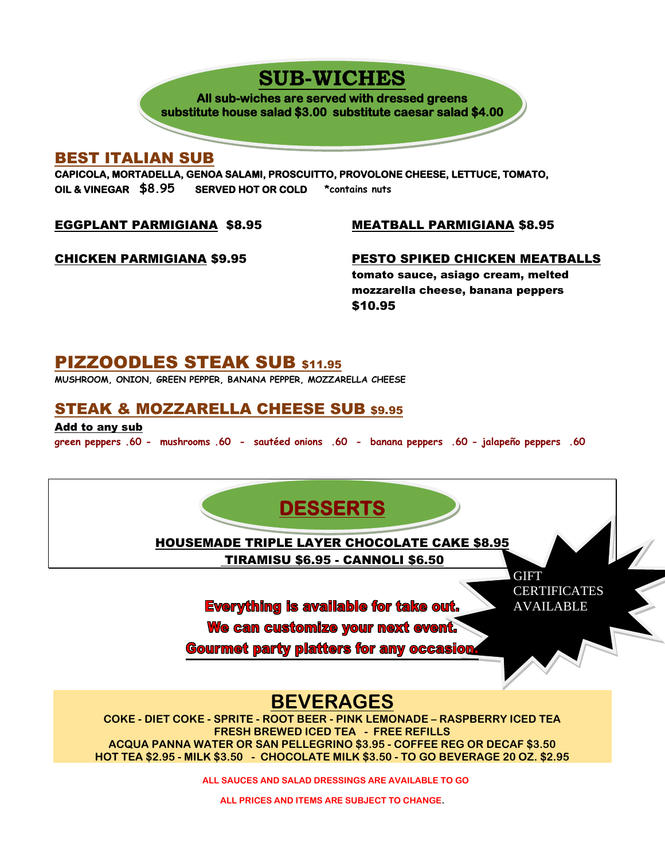# **SUB-WICHES**

**All sub-wiches are served with dressed greens substitute house salad \$3.00 substitute caesar salad \$4.00** 

#### BEST ITALIAN SUB

**CAPICOLA, MORTADELLA, GENOA SALAMI, PROSCUITTO, PROVOLONE CHEESE, LETTUCE, TOMATO, OIL & VINEGAR \$8.95 SERVED HOT OR COLD \*contains nuts** 

EGGPLANT PARMIGIANA \$8.95

MEATBALL PARMIGIANA \$8.95

CHICKEN PARMIGIANA \$9.95

PESTO SPIKED CHICKEN MEATBALLS tomato sauce, asiago cream, melted mozzarella cheese, banana peppers \$10.95

# PIZZOODLES STEAK SUB \$11.95

**MUSHROOM, ONION, GREEN PEPPER, BANANA PEPPER, MOZZARELLA CHEESE**

### STEAK & MOZZARELLA CHEESE SUB \$9.95

Add to any sub **green peppers .60 - mushrooms .60 - sautéed onions .60 - banana peppers .60 - jalapeño peppers .60**



 **ALL SAUCES AND SALAD DRESSINGS ARE AVAILABLE TO GO**

**ALL PRICES AND ITEMS ARE SUBJECT TO CHANGE.**